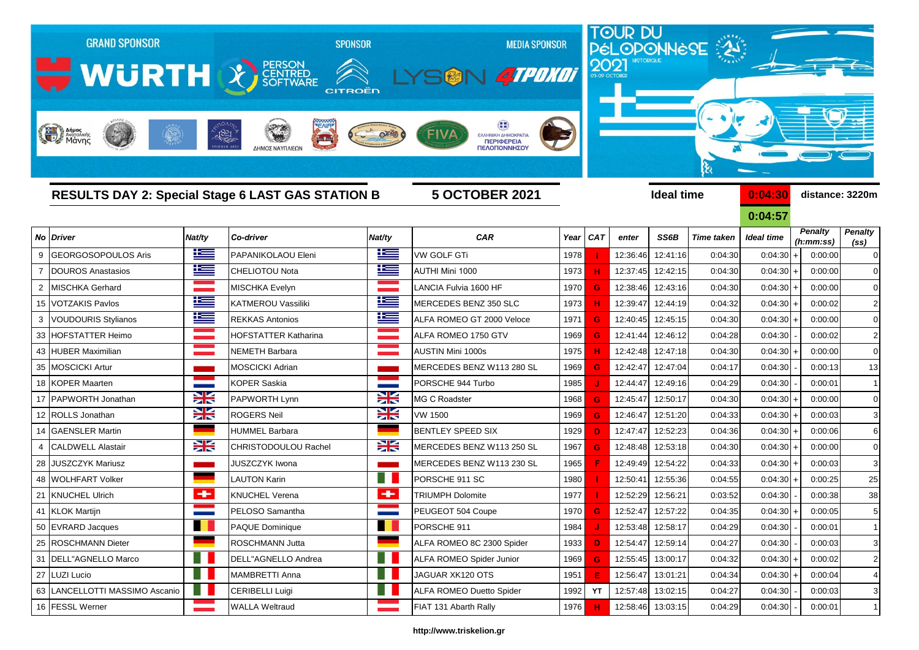|                | <b>GRAND SPONSOR</b><br><b>MURTH &amp; REARBANK</b>      |           | ΛΗΜΟΣ ΝΑΥΠΛΙΕΟΝ             | <b>SPONSOR</b><br>CITROËN | <b>MEDIA SPONSOR</b><br>SGN 4TPDKDT<br>ΕΛΛΗΝΙΚΗ ΔΗΜΟΚΡΑΤΙΑ<br>ΠΕΡΙΦΕΡΕΙΑ<br>ΠΕΛΟΠΟΝΝΗΣΟΥ |      |            |          |                   | TOUR DU<br>PÉLOPONNÈSE<br>હે |                    |                      |                               |
|----------------|----------------------------------------------------------|-----------|-----------------------------|---------------------------|------------------------------------------------------------------------------------------|------|------------|----------|-------------------|------------------------------|--------------------|----------------------|-------------------------------|
|                | <b>RESULTS DAY 2: Special Stage 6 LAST GAS STATION B</b> |           |                             |                           | <b>5 OCTOBER 2021</b>                                                                    |      |            |          | <b>Ideal time</b> |                              | 0:04:30<br>0:04:57 |                      | distance: 3220m               |
| No             | <b>Driver</b>                                            | Nat/ty    | Co-driver                   | Nat/ty                    | CAR                                                                                      | Year | <b>CAT</b> | enter    | SS6B              | <b>Time taken</b>            | <b>Ideal time</b>  | <b>Penalty</b>       | <b>Penalty</b>                |
| 9              | <b>GEORGOSOPOULOS Aris</b>                               | $\pm$     | PAPANIKOLAOU Eleni          | <u>ik –</u>               | <b>VW GOLF GTi</b>                                                                       | 1978 |            | 12:36:46 | 12:41:16          | 0:04:30                      | 0:04:30            | (h:mm:ss)<br>0:00:00 | (s <sub>s</sub> )<br>$\Omega$ |
| $\overline{7}$ | <b>DOUROS Anastasios</b>                                 | İ         | <b>CHELIOTOU Nota</b>       | Ħ                         | AUTHI Mini 1000                                                                          | 1973 | н          | 12:37:45 | 12:42:15          | 0:04:30                      | 0:04:30            | 0:00:00              | $\mathbf 0$                   |
| 2              | <b>MISCHKA Gerhard</b>                                   |           | MISCHKA Evelyn              |                           | LANCIA Fulvia 1600 HF                                                                    | 1970 | G          | 12:38:46 | 12:43:16          | 0:04:30                      | $0:04:30+$         | 0:00:00              | $\mathbf 0$                   |
| 15             | <b>VOTZAKIS Pavlos</b>                                   | Ŧ         | <b>KATMEROU Vassiliki</b>   | Ë                         | MERCEDES BENZ 350 SLC                                                                    | 1973 | н          | 12:39:47 | 12:44:19          | 0:04:32                      | $0:04:30+$         | 0:00:02              | $\overline{2}$                |
| 3              | <b>VOUDOURIS Stylianos</b>                               | Ħ         | <b>REKKAS Antonios</b>      | ħ                         | ALFA ROMEO GT 2000 Veloce                                                                | 1971 | G          | 12:40:45 | 12:45:15          | 0:04:30                      | 0:04:30            | 0:00:00              | $\Omega$                      |
| 33             | HOFSTATTER Heimo                                         |           | <b>HOFSTATTER Katharina</b> |                           | ALFA ROMEO 1750 GTV                                                                      | 1969 | G          | 12:41:44 | 12:46:12          | 0:04:28                      | 0:04:30            | 0:00:02              | $\overline{2}$                |
| 43             | <b>HUBER Maximilian</b>                                  |           | NEMETH Barbara              |                           | AUSTIN Mini 1000s                                                                        | 1975 |            | 12:42:48 | 12:47:18          | 0:04:30                      | 0:04:30            | 0:00:00              | $\Omega$                      |
| 35             | <b>MOSCICKI Artur</b>                                    |           | <b>MOSCICKI Adrian</b>      |                           | MERCEDES BENZ W113 280 SL                                                                | 1969 | G          | 12:42:47 | 12:47:04          | 0:04:17                      | 0:04:30            | 0:00:13              | 13                            |
| 18             | <b>KOPER Maarten</b>                                     |           | KOPER Saskia                |                           | PORSCHE 944 Turbo                                                                        | 1985 |            | 12:44:47 | 12:49:16          | 0:04:29                      | 0:04:30            | 0:00:01              | $\mathbf{1}$                  |
| 17             | PAPWORTH Jonathan                                        | <b>XK</b> | PAPWORTH Lynn               | X                         | <b>MG C Roadster</b>                                                                     | 1968 | G          | 12:45:47 | 12:50:17          | 0:04:30                      | $0:04:30+$         | 0:00:00              | $\Omega$                      |
| 12             | <b>ROLLS Jonathan</b>                                    | X         | <b>ROGERS Neil</b>          | X                         | <b>VW 1500</b>                                                                           | 1969 | G          | 12:46:47 | 12:51:20          | 0:04:33                      | $0:04:30 +$        | 0:00:03              | 3                             |
| 14             | <b>GAENSLER Martin</b>                                   |           | <b>HUMMEL Barbara</b>       |                           | <b>BENTLEY SPEED SIX</b>                                                                 | 1929 | D          | 12:47:47 | 12:52:23          | 0:04:36                      | $0:04:30+$         | 0:00:06              | 6                             |
| 4              | <b>CALDWELL Alastair</b>                                 | X         | <b>CHRISTODOULOU Rachel</b> | ₩                         | MERCEDES BENZ W113 250 SL                                                                | 1967 | G          | 12:48:48 | 12:53:18          | 0:04:30                      | 0:04:30            | 0:00:00              | $\Omega$                      |
| 28             | <b>JUSZCZYK Mariusz</b>                                  |           | JUSZCZYK Iwona              |                           | MERCEDES BENZ W113 230 SL                                                                | 1965 |            | 12:49:49 | 12:54:22          | 0:04:33                      | 0:04:30            | 0:00:03              | 3                             |
| 48             | <b>WOLHFART Volker</b>                                   |           | <b>LAUTON Karin</b>         |                           | PORSCHE 911 SC                                                                           | 1980 |            | 12:50:4  | 12:55:36          | 0:04:55                      | 0:04:30            | 0:00:25              | 25                            |
| 21             | KNUCHEL Ulrich                                           | ÷         | KNUCHEL Verena              | ÷                         | <b>TRIUMPH Dolomite</b>                                                                  | 1977 |            | 12:52:29 | 12:56:21          | 0:03:52                      | 0:04:30            | 0:00:38              | 38                            |
| 41             | <b>KLOK Martijn</b>                                      |           | PELOSO Samantha             |                           | PEUGEOT 504 Coupe                                                                        | 1970 | G          | 12:52:47 | 12:57:22          | 0:04:35                      | 0:04:30            | 0:00:05              |                               |
| 50             | <b>EVRARD Jacques</b>                                    | . .       | <b>PAQUE Dominique</b>      | a se                      | PORSCHE 911                                                                              | 1984 |            | 12:53:48 | 12:58:17          | 0:04:29                      | 0:04:30            | 0:00:01              | $\mathbf 1$                   |
| 25             | <b>ROSCHMANN Dieter</b>                                  |           | ROSCHMANN Jutta             |                           | ALFA ROMEO 8C 2300 Spider                                                                | 1933 | D          | 12:54:47 | 12:59:14          | 0:04:27                      | 0:04:30            | 0:00:03              | 3                             |
| 31             | DELL"AGNELLO Marco                                       |           | DELL"AGNELLO Andrea         |                           | <b>ALFA ROMEO Spider Junior</b>                                                          | 1969 | G          | 12:55:45 | 13:00:17          | 0:04:32                      | 0:04:30            | 0:00:02              | $\overline{2}$                |
| 27             | <b>LUZI Lucio</b>                                        |           | MAMBRETTI Anna              |                           | JAGUAR XK120 OTS                                                                         | 1951 | Е          | 12:56:47 | 13:01:21          | 0:04:34                      | $0:04:30 +$        | 0:00:04              |                               |

## **http://www.triskelion.gr**

63 LANCELLOTTI MASSIMO Ascanio **CRIBELLI Luigi** CERIBELLI Luigi **CRIPELLI Luigi** ALFA ROMEO Duetto Spider 1992 **YT** 12:57:48 13:02:15 0:04:27 0:04:30 - 0:00:03 3

16 FESSL Werner **WALLA Weltraud FIAT 131 Abarth Rally** 1976 **H** 12:58:46 13:03:15 0:04:29 0:04:30 - 0:00:01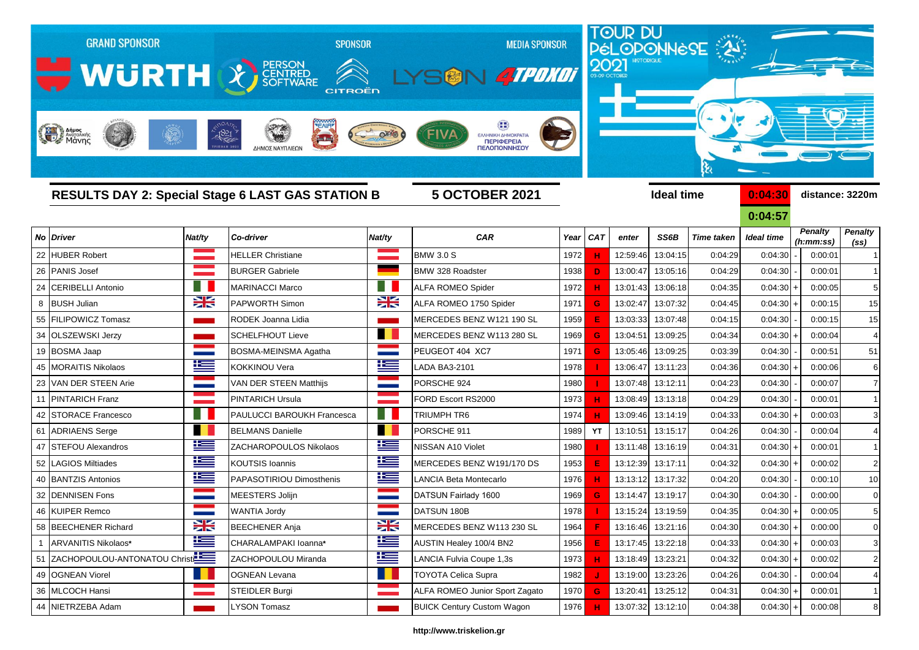|      | <b>GRAND SPONSOR</b><br>WURTH X SCRITTING<br>Anipos                                                    |        | <b>SPONSOR</b><br><b>CITROËN</b><br>$-1821$<br>$\rightarrow$<br>ΔΗΜΟΣ ΝΑΥΠΛΙΕΩΜ |           | <b>MEDIA SPONSOR</b><br>SON ATPOKOT<br>FIVA<br>ΕΛΛΗΝΙΚΗ ΔΗΜΟΚΡΑΤΙΑ<br>ΠΕΡΙΦΕΡΕΙΑ<br>ΠΕΛΟΠΟΝΝΗΣΟΥ |      | 2021       |          |                   | TOUR DU<br>PÉLOPONNESE |                       |                      |                   |  |
|------|--------------------------------------------------------------------------------------------------------|--------|---------------------------------------------------------------------------------|-----------|--------------------------------------------------------------------------------------------------|------|------------|----------|-------------------|------------------------|-----------------------|----------------------|-------------------|--|
|      | <b>RESULTS DAY 2: Special Stage 6 LAST GAS STATION B</b><br><b>5 OCTOBER 2021</b><br><b>Ideal time</b> |        |                                                                                 |           |                                                                                                  |      |            |          | ક્ષ               | 0:04:30                | distance: 3220m       |                      |                   |  |
| No l | <b>Driver</b>                                                                                          | Nat/ty | Co-driver                                                                       | Nat/ty    | <b>CAR</b>                                                                                       | Year | <b>CAT</b> | enter    | SS6B              | <b>Time taken</b>      | 0:04:57<br>Ideal time | <b>Penalty</b>       | <b>Penalty</b>    |  |
| 22   | <b>HUBER Robert</b>                                                                                    |        | <b>HELLER Christiane</b>                                                        |           | <b>BMW 3.0 S</b>                                                                                 | 1972 |            | 12:59:46 | 13:04:15          | 0:04:29                | 0:04:30               | (h:mm:ss)<br>0:00:01 | (s <sub>s</sub> ) |  |
| 26   | <b>PANIS Josef</b>                                                                                     |        | <b>BURGER Gabriele</b>                                                          |           | BMW 328 Roadster                                                                                 | 1938 | D          | 13:00:47 | 13:05:16          | 0:04:29                | 0:04:30               | 0:00:01              |                   |  |
| 24   | <b>CERIBELLI Antonio</b>                                                                               |        | <b>MARINACCI Marco</b>                                                          |           | <b>ALFA ROMEO Spider</b>                                                                         | 1972 |            | 13:01:43 | 13:06:18          | 0:04:35                | 0:04:30               | 0:00:05              | 5                 |  |
| 8    | <b>BUSH Julian</b>                                                                                     | X      | <b>PAPWORTH Simon</b>                                                           | <b>XK</b> | ALFA ROMEO 1750 Spider                                                                           | 1971 |            | 13:02:47 | 13:07:32          | 0:04:45                | $0:04:30$ +           | 0:00:15              | 15                |  |
| 55   | <b>FILIPOWICZ Tomasz</b>                                                                               |        | RODEK Joanna Lidia                                                              |           | MERCEDES BENZ W121 190 SL                                                                        | 1959 |            | 13:03:33 | 13:07:48          | 0:04:15                | 0:04:30               | 0:00:15              | 15                |  |
| 34   | <b>OLSZEWSKI Jerzy</b>                                                                                 |        | <b>SCHELFHOUT Lieve</b>                                                         | . .       | MERCEDES BENZ W113 280 SL                                                                        | 1969 |            | 13:04:51 | 13:09:25          | 0:04:34                | 0:04:30               | 0:00:04              |                   |  |
| 19   | <b>BOSMA Jaap</b>                                                                                      |        | BOSMA-MEINSMA Agatha                                                            |           | PEUGEOT 404 XC7                                                                                  | 1971 |            | 13:05:46 | 13:09:25          | 0:03:39                | 0:04:30               | 0:00:51              | 51                |  |
| 45   | <b>MORAITIS Nikolaos</b>                                                                               | 些      | <b>KOKKINOU Vera</b>                                                            | 些         | LADA BA3-2101                                                                                    | 1978 |            | 13:06:47 | 13:11:23          | 0:04:36                | 0:04:30               | 0:00:06              | 6                 |  |
| 23   | VAN DER STEEN Arie                                                                                     |        | VAN DER STEEN Matthijs                                                          |           | PORSCHE 924                                                                                      | 1980 |            | 13:07:48 | 13:12:11          | 0:04:23                | 0:04:30               | 0:00:07              |                   |  |
|      | <b>PINTARICH Franz</b>                                                                                 |        | <b>PINTARICH Ursula</b>                                                         |           | FORD Escort RS2000                                                                               | 1973 |            | 13:08:49 | 13:13:18          | 0:04:29                | 0:04:30               | 0:00:01              |                   |  |
| 42   | <b>STORACE Francesco</b>                                                                               |        | PAULUCCI BAROUKH Francesca                                                      |           | TRIUMPH TR6                                                                                      | 1974 |            | 13:09:46 | 13:14:19          | 0:04:33                | 0:04:30               | 0:00:03              |                   |  |
| 61   | <b>ADRIAENS</b> Serge                                                                                  | H.     | <b>BELMANS Danielle</b>                                                         | H.        | PORSCHE 911                                                                                      | 1989 | YT         | 13:10:51 | 13:15:17          | 0:04:26                | 0:04:30               | 0:00:04              |                   |  |
| 47   | <b>ISTEFOU Alexandros</b>                                                                              | Ħ      | ZACHAROPOULOS Nikolaos                                                          | l         | NISSAN A10 Violet                                                                                | 1980 |            | 13:11:48 | 13:16:19          | 0:04:31                | 0:04:30               | 0:00:01              |                   |  |
| 52   | <b>LAGIOS Miltiades</b>                                                                                | M      | <b>KOUTSIS Ioannis</b>                                                          | 些         | MERCEDES BENZ W191/170 DS                                                                        | 1953 |            | 13:12:39 | 13:17:11          | 0:04:32                | 0:04:30               | 0:00:02              | $\overline{2}$    |  |
| 40   | <b>BANTZIS Antonios</b>                                                                                | ١Ξ     | PAPASOTIRIOU Dimosthenis                                                        | Ł         | LANCIA Beta Montecarlo                                                                           | 1976 |            | 13:13:12 | 13:17:32          | 0:04:20                | 0:04:30               | 0:00:10              | 10                |  |
| 32   | <b>DENNISEN Fons</b>                                                                                   |        | MEESTERS Jolijn                                                                 |           | DATSUN Fairlady 1600                                                                             | 1969 |            | 13:14:47 | 13:19:17          | 0:04:30                | 0:04:30               | 0:00:00              | $\Omega$          |  |
|      | 46 KUIPER Remco                                                                                        |        | <b>WANTIA Jordy</b>                                                             |           | DATSUN 180B                                                                                      | 1978 |            |          | 13:15:24 13:19:59 | 0:04:35                | $0:04:30 +$           | 0:00:05              |                   |  |
|      | 58 BEECHENER Richard                                                                                   | X      | <b>BEECHENER Anja</b>                                                           | X         | MERCEDES BENZ W113 230 SL                                                                        | 1964 |            |          | 13:16:46 13:21:16 | 0:04:30                | $0:04:30 +$           | 0:00:00              | 0                 |  |
| 1    | ARVANITIS Nikolaos*                                                                                    | N      | CHARALAMPAKI Ioanna*                                                            | N         | AUSTIN Healey 100/4 BN2                                                                          | 1956 |            |          | 13:17:45 13:22:18 | 0:04:33                | 0:04:30               | 0:00:03              | 3                 |  |
|      | 51 ZACHOPOULOU-ANTONATOU Christ                                                                        |        | ZACHOPOULOU Miranda                                                             | 些         | LANCIA Fulvia Coupe 1,3s                                                                         | 1973 |            |          | 13:18:49 13:23:21 | 0:04:32                | $0:04:30 +$           | 0:00:02              | $\overline{2}$    |  |
|      | 49 OGNEAN Viorel                                                                                       | a pro  | <b>OGNEAN Levana</b>                                                            |           | <b>TOYOTA Celica Supra</b>                                                                       | 1982 |            |          | 13:19:00 13:23:26 | 0:04:26                | 0:04:30               | 0:00:04              | $\overline{4}$    |  |
|      | 36 MLCOCH Hansi                                                                                        |        | <b>STEIDLER Burgi</b>                                                           |           | ALFA ROMEO Junior Sport Zagato                                                                   | 1970 | G          |          | 13:20:41 13:25:12 | 0:04:31                | $0:04:30 +$           | 0:00:01              | $\mathbf{1}$      |  |

## **http://www.triskelion.gr**

NIETRZEBA Adam LYSON Tomasz BUICK Century Custom Wagon 1976 **H** 13:07:32 13:12:10 0:04:38 0:04:30 + 0:00:08 8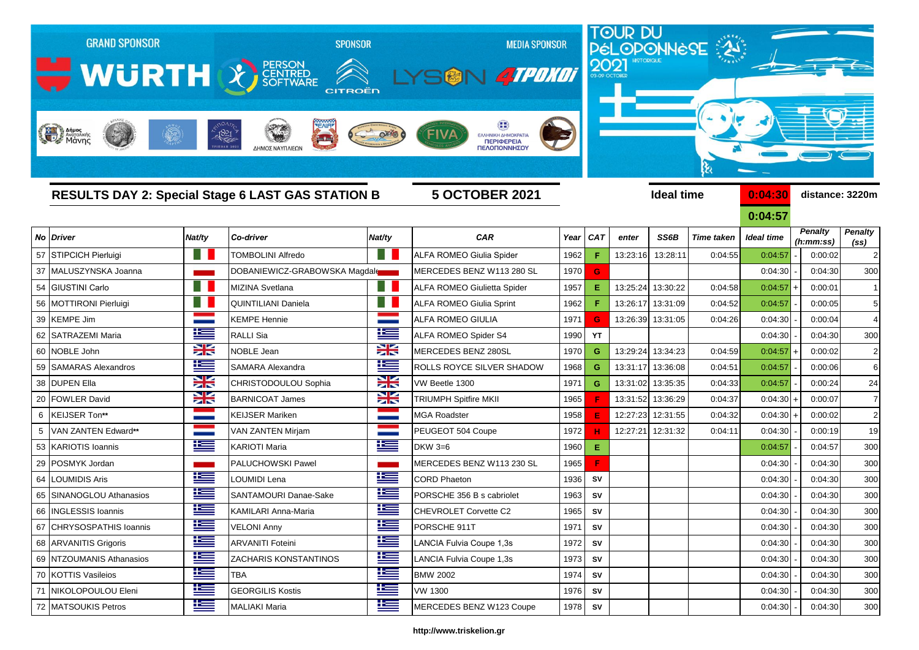|    | <b>GRAND SPONSOR</b><br>WURTH & FERSON<br>Anjuos<br>ANGLOS ANGLOS IKING |                       | <b>SPONSOR</b><br>CITROËN<br>$-1821$<br>$\frac{1}{2}$<br>ΔΗΜΟΣ ΝΑΥΠΛΙΕΩΝ | <b>MEDIA SPONSOR</b><br><b>STROKOT</b><br>SM<br><b>ΕΛΛΗΝΙΚΗ ΔΗΜΟΚΡΑΤΙΑ</b><br><b>ПЕРІФЕРЕІА</b><br>ΠΕΛΟΠΟΝΝΗΣΟΥ |                                    | 2021              |            |                    | TOUR DU<br>PÉLOPONNÈSE<br>ક્ષ |                   |                   |                      |                   |
|----|-------------------------------------------------------------------------|-----------------------|--------------------------------------------------------------------------|-----------------------------------------------------------------------------------------------------------------|------------------------------------|-------------------|------------|--------------------|-------------------------------|-------------------|-------------------|----------------------|-------------------|
|    | <b>RESULTS DAY 2: Special Stage 6 LAST GAS STATION B</b>                | <b>5 OCTOBER 2021</b> |                                                                          |                                                                                                                 |                                    | <b>Ideal time</b> |            | 0:04:30<br>0:04:57 |                               | distance: 3220m   |                   |                      |                   |
| No | <b>Driver</b>                                                           | Nat/ty                | Co-driver                                                                | Nat/ty                                                                                                          | <b>CAR</b>                         | Year              | <b>CAT</b> | enter              | SS6B                          | <b>Time taken</b> | <b>Ideal time</b> | <b>Penalty</b>       | <b>Penalty</b>    |
|    | 57 STIPCICH Pierluigi                                                   | H.                    | <b>TOMBOLINI Alfredo</b>                                                 | <b>Birth</b>                                                                                                    | ALFA ROMEO Giulia Spider           | 1962              | F          | 13:23:16           | 13:28:11                      | 0:04:55           | 0:04:57           | (h:mm:ss)<br>0:00:02 | (s <sub>s</sub> ) |
|    | 37 MALUSZYNSKA Joanna                                                   |                       | DOBANIEWICZ-GRABOWSKA Magdale                                            |                                                                                                                 | IMERCEDES BENZ W113 280 SL         | 1970              | G          |                    |                               |                   | 0:04:30           | 0:04:30              | 300               |
| 54 | <b>GIUSTINI Carlo</b>                                                   | H.                    | MIZINA Svetlana                                                          | n n                                                                                                             | <b>ALFA ROMEO Giulietta Spider</b> | 1957              | Е          |                    | 13:25:24 13:30:22             | 0:04:58           | 0:04:57           | 0:00:01              |                   |
|    | 56 MOTTIRONI Pierluigi                                                  | H                     | <b>QUINTILIANI Daniela</b>                                               | × III                                                                                                           | <b>ALFA ROMEO Giulia Sprint</b>    | 1962              | F.         | 13:26:17           | 13:31:09                      | 0:04:52           | 0:04:57           | 0:00:05              | 5 <sup>5</sup>    |
|    | 39 KEMPE Jim                                                            |                       | KEMPE Hennie                                                             |                                                                                                                 | <b>ALFA ROMEO GIULIA</b>           | 1971              | G          |                    | 13:26:39 13:31:05             | 0:04:26           | 0:04:30           | 0:00:04              | $\overline{4}$    |
| 62 | <b>SATRAZEMI Maria</b>                                                  | $\equiv$              | RALLI Sia                                                                | N                                                                                                               | ALFA ROMEO Spider S4               | 1990              | YT         |                    |                               |                   | 0:04:30           | 0:04:30              | 300               |
|    | 60 NOBLE John                                                           | X                     | <b>NOBLE Jean</b>                                                        | XK                                                                                                              | MERCEDES BENZ 280SL                | 1970              | G          | 13:29:24           | 13:34:23                      | 0:04:59           | 0:04:57           | 0:00:02              | $2 \vert$         |
|    | 59   SAMARAS Alexandros                                                 | M                     | SAMARA Alexandra                                                         | l                                                                                                               | <b>ROLLS ROYCE SILVER SHADOW</b>   | 1968              | G          | 13:31:17           | 13:36:08                      | 0:04:51           | 0:04:57           | 0:00:06              | $6 \mid$          |
|    | 38 DUPEN Ella                                                           | X                     | CHRISTODOULOU Sophia                                                     | XK                                                                                                              | VW Beetle 1300                     | 1971              | G          | 13:31:02           | 13:35:35                      | 0:04:33           | 0:04:57           | 0:00:24              | 24                |
| 20 | <b>FOWLER David</b>                                                     | X                     | <b>BARNICOAT James</b>                                                   | $\geq$                                                                                                          | <b>TRIUMPH Spitfire MKII</b>       | 1965              |            | 13:31:52           | 13:36:29                      | 0:04:37           | 0:04:30           | 0:00:07              | $\overline{7}$    |
| 6  | <b>KEIJSER Ton**</b>                                                    |                       | <b>KEIJSER Mariken</b>                                                   |                                                                                                                 | <b>MGA Roadster</b>                | 1958              | Е          | 12:27:23           | 12:31:55                      | 0:04:32           | 0:04:30           | 0:00:02              | 2 <sub>1</sub>    |
| 5  | VAN ZANTEN Edward**                                                     |                       | <b>VAN ZANTEN Mirjam</b>                                                 |                                                                                                                 | PEUGEOT 504 Coupe                  | 1972              |            | 12:27:21           | 12:31:32                      | 0:04:11           | 0:04:30           | 0:00:19              | 19                |
|    | 53 KARIOTIS Ioannis                                                     | <u>ies</u>            | <b>KARIOTI Maria</b>                                                     | l                                                                                                               | $DKW$ 3=6                          | 1960              | Е.         |                    |                               |                   | 0:04:57           | 0:04:57              | 300               |
| 29 | POSMYK Jordan                                                           |                       | PALUCHOWSKI Pawel                                                        |                                                                                                                 | MERCEDES BENZ W113 230 SL          | 1965              | F          |                    |                               |                   | 0:04:30           | 0:04:30              | 300               |
| 64 | LOUMIDIS Aris                                                           | 些                     | OUMIDI Lena                                                              | l                                                                                                               | <b>CORD Phaeton</b>                | 1936              | SV         |                    |                               |                   | 0:04:30           | 0:04:30              | 300               |
| 65 | SINANOGLOU Athanasios                                                   | ١Œ                    | SANTAMOURI Danae-Sake                                                    | N                                                                                                               | PORSCHE 356 B s cabriolet          | 1963              | SV         |                    |                               |                   | 0:04:30           | 0:04:30              | 300               |
| 66 | <b>INGLESSIS Ioannis</b>                                                | 连                     | KAMILARI Anna-Maria                                                      | 哇                                                                                                               | CHEVROLET Corvette C2              | 1965              | ${\sf SV}$ |                    |                               |                   | 0:04:30           | 0:04:30              | 300               |
|    | 67 CHRYSOSPATHIS Ioannis                                                | <u>اعتل</u>           | <b>VELONI Anny</b>                                                       | ١Œ                                                                                                              | PORSCHE 911T                       | 1971              | SV         |                    |                               |                   | 0:04:30           | 0:04:30              | 300               |
|    | 68 ARVANITIS Grigoris                                                   | ١Œ                    | <b>ARVANITI Foteini</b>                                                  | ١æ                                                                                                              | LANCIA Fulvia Coupe 1,3s           | 1972              | SV         |                    |                               |                   | 0:04:30           | 0:04:30              | 300               |
|    | 69 NTZOUMANIS Athanasios                                                | ١Œ                    | <b>ZACHARIS KONSTANTINOS</b>                                             | N                                                                                                               | LANCIA Fulvia Coupe 1,3s           | 1973              | SV         |                    |                               |                   | 0:04:30           | 0:04:30              | 300               |
|    | 70 KOTTIS Vasileios                                                     | <u>is </u>            | <b>TBA</b>                                                               | N                                                                                                               | <b>BMW 2002</b>                    | 1974              | SV         |                    |                               |                   | 0:04:30           | 0:04:30              | 300               |
|    | 71 NIKOLOPOULOU Eleni                                                   | Ħ                     | <b>GEORGILIS Kostis</b>                                                  | N                                                                                                               | <b>VW 1300</b>                     |                   | 1976 SV    |                    |                               |                   | 0:04:30           | 0:04:30              | 300               |
|    | 72 MATSOUKIS Petros                                                     | 坚                     | <b>MALIAKI Maria</b>                                                     | <u>ika </u>                                                                                                     | MERCEDES BENZ W123 Coupe           | 1978 SV           |            |                    |                               |                   | 0:04:30           | 0:04:30              | 300               |